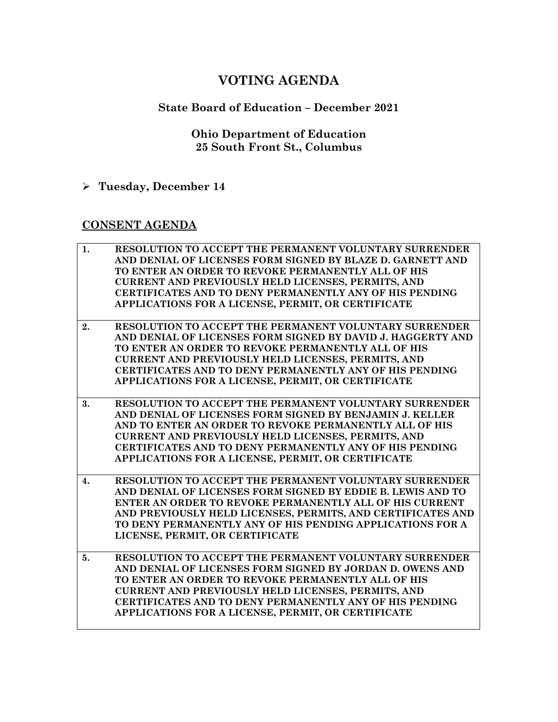# **VOTING AGENDA**

# **State Board of Education – December 2021**

### **Ohio Department of Education 25 South Front St., Columbus**

**Tuesday, December 14**

### **CONSENT AGENDA**

| 1.               | RESOLUTION TO ACCEPT THE PERMANENT VOLUNTARY SURRENDER         |
|------------------|----------------------------------------------------------------|
|                  | AND DENIAL OF LICENSES FORM SIGNED BY BLAZE D. GARNETT AND     |
|                  | TO ENTER AN ORDER TO REVOKE PERMANENTLY ALL OF HIS             |
|                  | <b>CURRENT AND PREVIOUSLY HELD LICENSES, PERMITS, AND</b>      |
|                  | <b>CERTIFICATES AND TO DENY PERMANENTLY ANY OF HIS PENDING</b> |
|                  | APPLICATIONS FOR A LICENSE, PERMIT, OR CERTIFICATE             |
|                  |                                                                |
| 2.               | RESOLUTION TO ACCEPT THE PERMANENT VOLUNTARY SURRENDER         |
|                  | AND DENIAL OF LICENSES FORM SIGNED BY DAVID J. HAGGERTY AND    |
|                  | TO ENTER AN ORDER TO REVOKE PERMANENTLY ALL OF HIS             |
|                  | <b>CURRENT AND PREVIOUSLY HELD LICENSES, PERMITS, AND</b>      |
|                  | <b>CERTIFICATES AND TO DENY PERMANENTLY ANY OF HIS PENDING</b> |
|                  | APPLICATIONS FOR A LICENSE, PERMIT, OR CERTIFICATE             |
|                  |                                                                |
| 3.               | RESOLUTION TO ACCEPT THE PERMANENT VOLUNTARY SURRENDER         |
|                  | AND DENIAL OF LICENSES FORM SIGNED BY BENJAMIN J. KELLER       |
|                  | AND TO ENTER AN ORDER TO REVOKE PERMANENTLY ALL OF HIS         |
|                  | CURRENT AND PREVIOUSLY HELD LICENSES, PERMITS, AND             |
|                  | <b>CERTIFICATES AND TO DENY PERMANENTLY ANY OF HIS PENDING</b> |
|                  | APPLICATIONS FOR A LICENSE, PERMIT, OR CERTIFICATE             |
|                  |                                                                |
| $\overline{4}$ . | <b>RESOLUTION TO ACCEPT THE PERMANENT VOLUNTARY SURRENDER</b>  |
|                  | AND DENIAL OF LICENSES FORM SIGNED BY EDDIE B. LEWIS AND TO    |
|                  | ENTER AN ORDER TO REVOKE PERMANENTLY ALL OF HIS CURRENT        |
|                  | AND PREVIOUSLY HELD LICENSES, PERMITS, AND CERTIFICATES AND    |
|                  | TO DENY PERMANENTLY ANY OF HIS PENDING APPLICATIONS FOR A      |
|                  | LICENSE, PERMIT, OR CERTIFICATE                                |
|                  |                                                                |
| 5.               | RESOLUTION TO ACCEPT THE PERMANENT VOLUNTARY SURRENDER         |
|                  | AND DENIAL OF LICENSES FORM SIGNED BY JORDAN D. OWENS AND      |
|                  | TO ENTER AN ORDER TO REVOKE PERMANENTLY ALL OF HIS             |
|                  | <b>CURRENT AND PREVIOUSLY HELD LICENSES, PERMITS, AND</b>      |
|                  | <b>CERTIFICATES AND TO DENY PERMANENTLY ANY OF HIS PENDING</b> |
|                  | APPLICATIONS FOR A LICENSE, PERMIT, OR CERTIFICATE             |
|                  |                                                                |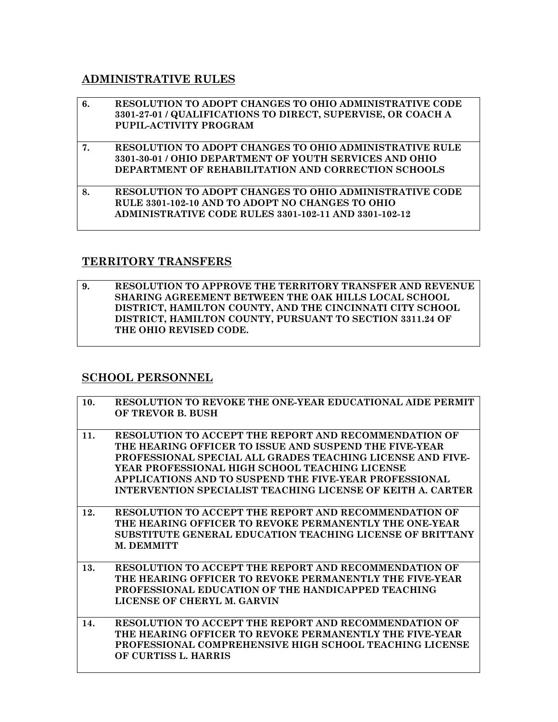#### **ADMINISTRATIVE RULES**

| 6. | RESOLUTION TO ADOPT CHANGES TO OHIO ADMINISTRATIVE CODE<br>3301-27-01 / QUALIFICATIONS TO DIRECT, SUPERVISE, OR COACH A<br>PUPIL-ACTIVITY PROGRAM                                       |
|----|-----------------------------------------------------------------------------------------------------------------------------------------------------------------------------------------|
| 7. | <b>RESOLUTION TO ADOPT CHANGES TO OHIO ADMINISTRATIVE RULE</b><br>3301-30-01 / OHIO DEPARTMENT OF YOUTH SERVICES AND OHIO<br><b>DEPARTMENT OF REHABILITATION AND CORRECTION SCHOOLS</b> |
| 8. | RESOLUTION TO ADOPT CHANGES TO OHIO ADMINISTRATIVE CODE<br>RULE 3301-102-10 AND TO ADOPT NO CHANGES TO OHIO<br><b>ADMINISTRATIVE CODE RULES 3301-102-11 AND 3301-102-12</b>             |

#### **TERRITORY TRANSFERS**

**9. RESOLUTION TO APPROVE THE TERRITORY TRANSFER AND REVENUE SHARING AGREEMENT BETWEEN THE OAK HILLS LOCAL SCHOOL DISTRICT, HAMILTON COUNTY, AND THE CINCINNATI CITY SCHOOL DISTRICT, HAMILTON COUNTY, PURSUANT TO SECTION 3311.24 OF THE OHIO REVISED CODE.** 

## **SCHOOL PERSONNEL**

| 10. | RESOLUTION TO REVOKE THE ONE-YEAR EDUCATIONAL AIDE PERMIT<br>OF TREVOR B. BUSH                                                                                                                                                                                                                                                                                  |
|-----|-----------------------------------------------------------------------------------------------------------------------------------------------------------------------------------------------------------------------------------------------------------------------------------------------------------------------------------------------------------------|
| 11. | <b>RESOLUTION TO ACCEPT THE REPORT AND RECOMMENDATION OF</b><br>THE HEARING OFFICER TO ISSUE AND SUSPEND THE FIVE-YEAR<br>PROFESSIONAL SPECIAL ALL GRADES TEACHING LICENSE AND FIVE-<br>YEAR PROFESSIONAL HIGH SCHOOL TEACHING LICENSE<br>APPLICATIONS AND TO SUSPEND THE FIVE-YEAR PROFESSIONAL<br>INTERVENTION SPECIALIST TEACHING LICENSE OF KEITH A. CARTER |
| 12. | RESOLUTION TO ACCEPT THE REPORT AND RECOMMENDATION OF<br>THE HEARING OFFICER TO REVOKE PERMANENTLY THE ONE-YEAR<br>SUBSTITUTE GENERAL EDUCATION TEACHING LICENSE OF BRITTANY<br>M. DEMMITT                                                                                                                                                                      |
| 13. | <b>RESOLUTION TO ACCEPT THE REPORT AND RECOMMENDATION OF</b><br>THE HEARING OFFICER TO REVOKE PERMANENTLY THE FIVE-YEAR<br><b>PROFESSIONAL EDUCATION OF THE HANDICAPPED TEACHING</b><br>LICENSE OF CHERYL M. GARVIN                                                                                                                                             |
| 14. | RESOLUTION TO ACCEPT THE REPORT AND RECOMMENDATION OF<br>THE HEARING OFFICER TO REVOKE PERMANENTLY THE FIVE-YEAR<br>PROFESSIONAL COMPREHENSIVE HIGH SCHOOL TEACHING LICENSE<br>OF CURTISS L. HARRIS                                                                                                                                                             |